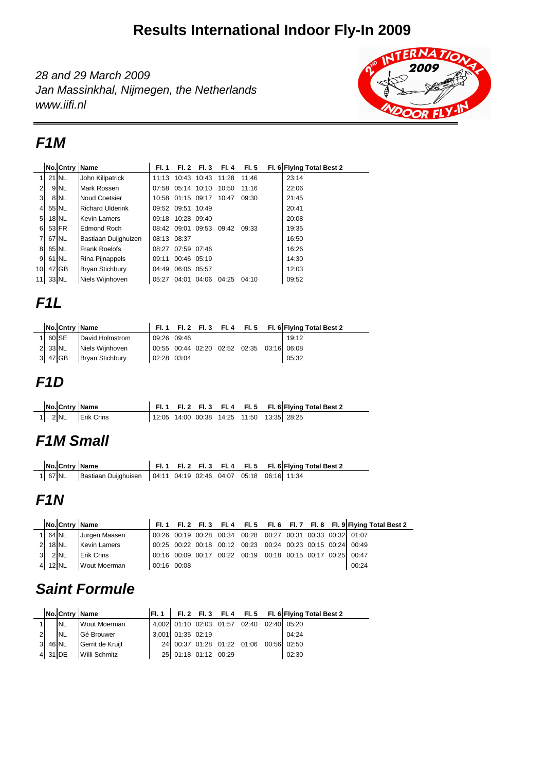## **Results International Indoor Fly-In 2009**

28 and 29 March 2009 Jan Massinkhal, Nijmegen, the Netherlands www.iifi.nl



#### **F1M**

|                 | No. Cntry Name  |                         | FI. 1       |                   | Fl. 2 Fl. 3       | FI. 4 | FI. 5 | Fl. 6 Flying Total Best 2 |
|-----------------|-----------------|-------------------------|-------------|-------------------|-------------------|-------|-------|---------------------------|
|                 | 21 NL           | John Killpatrick        |             |                   | 11:13 10:43 10:43 | 11:28 | 11:46 | 23:14                     |
| $\overline{2}$  | 9 <sub>NL</sub> | Mark Rossen             |             | 07:58 05:14 10:10 |                   | 10:50 | 11:16 | 22:06                     |
| 3 <sup>l</sup>  | 8 NL            | <b>Noud Coetsier</b>    |             | 10:58 01:15 09:17 |                   | 10:47 | 09:30 | 21:45                     |
| $\overline{4}$  | 55 NL           | <b>Richard Ulderink</b> |             | 09:52 09:51 10:49 |                   |       |       | 20:41                     |
| 5 <sub>l</sub>  | <b>18 NL</b>    | <b>Kevin Lamers</b>     |             | 09:18 10:28 09:40 |                   |       |       | 20:08                     |
| 6               | 53 FR           | <b>Edmond Roch</b>      |             |                   | 08:42 09:01 09:53 | 09:42 | 09:33 | 19:35                     |
| 71              | 67 NL           | Bastiaan Duijghuizen    | 08:13 08:37 |                   |                   |       |       | 16:50                     |
| 8               | 65 NL           | <b>Frank Roelofs</b>    |             | 08:27 07:59 07:46 |                   |       |       | 16:26                     |
| 9 <sub>l</sub>  | 61 NL           | Rina Pijnappels         | 09:11       | 00:46 05:19       |                   |       |       | 14:30                     |
| 10 <sup>1</sup> | 47 GB           | <b>Bryan Stichbury</b>  |             | 04:49 06:06 05:57 |                   |       |       | 12:03                     |
| 11              | 33 NL           | Niels Wiinhoven         | 05:27       | 04:01             | 04:06             | 04:25 | 04:10 | 09:52                     |

## **F1L**

|  | No. Cntry Name          |             |  |                                           | Fl. 1 Fl. 2 Fl. 3 Fl. 4 Fl. 5 Fl. 6 Flying Total Best 2 |
|--|-------------------------|-------------|--|-------------------------------------------|---------------------------------------------------------|
|  | 1 60 SE David Holmstrom | 09:26 09:46 |  |                                           | 19:12                                                   |
|  | 2 33 NL Niels Wijnhoven |             |  | 00:55 00:44 02:20 02:52 02:35 03:16 06:08 |                                                         |
|  | 3 47 GB Bryan Stichbury | 02:28 03:04 |  |                                           | 05:32                                                   |

#### **F1D**

|  | No. Cntry Name    |  |  | $\int$ Fl. 1 Fl. 2 Fl. 3 Fl. 4 Fl. 5 Fl. 6 Flying Total Best 2 |
|--|-------------------|--|--|----------------------------------------------------------------|
|  | 1 2 NL Erik Crins |  |  | 12:05 14:00 00:38 14:25 11:50 13:35 28:25                      |

### **F1M Small**

|  | No. Cntry Name                                                         |  |  | Fl. 1 Fl. 2 Fl. 3 Fl. 4 Fl. 5 Fl. 6 Flying Total Best 2 |  |
|--|------------------------------------------------------------------------|--|--|---------------------------------------------------------|--|
|  | 1 67 NL Bastiaan Duijghuisen 04:11 04:19 02:46 04:07 05:18 06:16 11:34 |  |  |                                                         |  |

#### **F1N**

|                |           |        | No. Cntry Name      |             |  |                                                             |  |  | FI. 1 FI. 2 FI. 3 FI. 4 FI. 5 FI. 6 FI. 7 FI. 8 FI. 9 Flying Total Best 2 |
|----------------|-----------|--------|---------------------|-------------|--|-------------------------------------------------------------|--|--|---------------------------------------------------------------------------|
|                | 1 64 NL   |        | Jurgen Maasen       |             |  | 00:26 00:19 00:28 00:34 00:28 00:27 00:31 00:33 00:32 01:07 |  |  |                                                                           |
|                | $2$ 18 NL |        | <b>Kevin Lamers</b> |             |  | 00:25 00:22 00:18 00:12 00:23 00:24 00:23 00:15 00:24 00:49 |  |  |                                                                           |
| 3 <sup>l</sup> |           | $2$ NL | <b>Erik Crins</b>   |             |  | 00:16 00:09 00:17 00:22 00:19 00:18 00:15 00:17 00:25 00:47 |  |  |                                                                           |
|                | 4 12 NL   |        | Wout Moerman        | 00:16 00:08 |  |                                                             |  |  | 00:24                                                                     |

## **Saint Formule**

|                |         |            | No. Cntry Name   |                      |  |                                           | Fl. 1   Fl. 2 Fl. 3 Fl. 4 Fl. 5 Fl. 6   Flying Total Best 2 |
|----------------|---------|------------|------------------|----------------------|--|-------------------------------------------|-------------------------------------------------------------|
|                |         | <b>INL</b> | Wout Moerman     |                      |  | 4,002 01:10 02:03 01:57 02:40 02:40 05:20 |                                                             |
| $\overline{2}$ |         | <b>INL</b> | Gé Brouwer       | 3,001 01:35 02:19    |  |                                           | 04:24                                                       |
|                | 3 46 NL |            | Gerrit de Kruiif |                      |  | 24 00:37 01:28 01:22 01:06 00:56 02:50    |                                                             |
|                |         | 4 31 DE    | Willi Schmitz    | 25 01:18 01:12 00:29 |  |                                           | 02:30                                                       |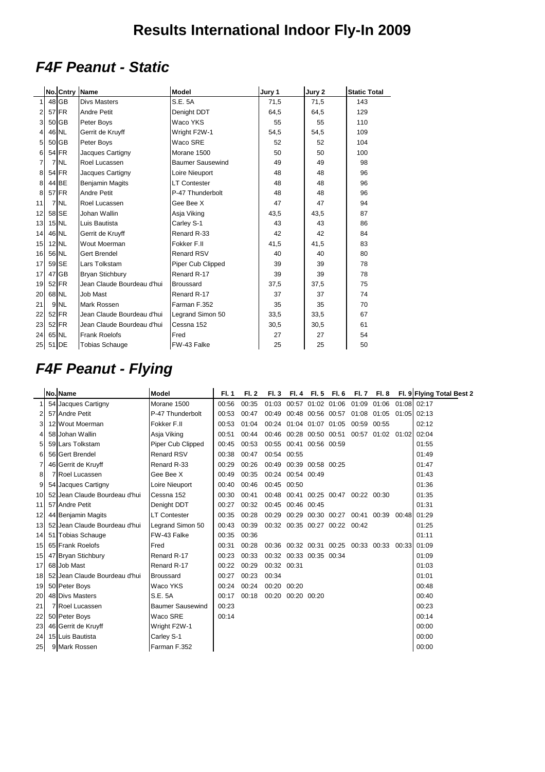# **F4F Peanut - Static**

|                |          | No. Cntry Name  |                            | <b>Model</b>            | Jury 1 | Jury 2 | <b>Static Total</b> |
|----------------|----------|-----------------|----------------------------|-------------------------|--------|--------|---------------------|
|                |          | $48$ GB         | <b>Divs Masters</b>        | S.E. 5A                 | 71,5   | 71,5   | 143                 |
| 2              |          | 57 FR           | <b>Andre Petit</b>         | Denight DDT             | 64,5   | 64,5   | 129                 |
| 3              |          | 50 GB           | Peter Boys                 | Waco YKS                | 55     | 55     | 110                 |
| 4              |          | 46 NL           | Gerrit de Kruyff           | Wright F2W-1            | 54,5   | 54,5   | 109                 |
| 5              |          | 50 GB           | Peter Boys                 | Waco SRE                | 52     | 52     | 104                 |
| 6              |          | 54 FR           | Jacques Cartigny           | Morane 1500             | 50     | 50     | 100                 |
| $\overline{7}$ |          | 7 NL            | Roel Lucassen              | <b>Baumer Sausewind</b> | 49     | 49     | 98                  |
| 8              |          | 54 FR           | Jacques Cartigny           | Loire Nieuport          | 48     | 48     | 96                  |
| 8              |          | 44 BE           | <b>Benjamin Magits</b>     | <b>LT Contester</b>     | 48     | 48     | 96                  |
| 8              |          | 57 FR           | <b>Andre Petit</b>         | P-47 Thunderbolt        | 48     | 48     | 96                  |
| 11             |          | 7 NL            | Roel Lucassen              | Gee Bee X               | 47     | 47     | 94                  |
| 12             |          | 58 SE           | Johan Wallin               | Asja Viking             | 43,5   | 43,5   | 87                  |
| 13             |          | $15$ NL         | Luis Bautista              | Carley S-1              | 43     | 43     | 86                  |
| 14             |          | 46 NL           | Gerrit de Kruyff           | Renard R-33             | 42     | 42     | 84                  |
| 15             |          | $12$ NL         | Wout Moerman               | Fokker F.II             | 41,5   | 41,5   | 83                  |
| 16             | 56 NL    |                 | Gert Brendel               | Renard RSV              | 40     | 40     | 80                  |
| 17             |          | 59 SE           | Lars Tolkstam              | Piper Cub Clipped       | 39     | 39     | 78                  |
| 17             |          | 47 GB           | <b>Bryan Stichbury</b>     | Renard R-17             | 39     | 39     | 78                  |
| 19             |          | 52 FR           | Jean Claude Bourdeau d'hui | <b>Broussard</b>        | 37,5   | 37,5   | 75                  |
| 20             | 68 NL    |                 | <b>Job Mast</b>            | Renard R-17             | 37     | 37     | 74                  |
| 21             |          | 9 <sub>NL</sub> | Mark Rossen                | Farman F.352            | 35     | 35     | 70                  |
| 22             |          | 52 FR           | Jean Claude Bourdeau d'hui | Legrand Simon 50        | 33,5   | 33,5   | 67                  |
| 23             |          | 52 FR           | Jean Claude Bourdeau d'hui | Cessna 152              | 30,5   | 30,5   | 61                  |
| 24             | 65 NL    |                 | <b>Frank Roelofs</b>       | Fred                    | 27     | 27     | 54                  |
|                | 25 51 DE |                 | <b>Tobias Schauge</b>      | FW-43 Falke             | 25     | 25     | 50                  |

## **F4F Peanut - Flying**

|                 | No. Name                      | Model                   | <b>FI.1</b> | <b>FI.2</b> | <b>FI.3</b> | FI. 4                   | FI.5 FI.6                     | <b>FI.7</b>                         |                                                 |             | Fl. 8 Fl. 9 Flying Total Best 2 |
|-----------------|-------------------------------|-------------------------|-------------|-------------|-------------|-------------------------|-------------------------------|-------------------------------------|-------------------------------------------------|-------------|---------------------------------|
|                 | 54 Jacques Cartigny           | Morane 1500             | 00:56       | 00:35       |             |                         | 01:03 00:57 01:02 01:06 01:09 |                                     | 01:06 01:08 02:17                               |             |                                 |
| 2               | 57 Andre Petit                | P-47 Thunderbolt        | 00:53       | 00:47       |             |                         | 00:49 00:48 00:56 00:57       | 01:08                               | 01:05                                           | 01:05 02:13 |                                 |
| 3               | 12 Wout Moerman               | Fokker F.II             | 00:53       | 01:04       |             | 00:24 01:04 01:07 01:05 |                               | 00:59                               | 00:55                                           |             | 02:12                           |
| 4               | 58 Johan Wallin               | Asja Viking             | 00:51       | 00:44       |             |                         |                               |                                     | 00:46 00:28 00:50 00:51 00:57 01:02 01:02 02:04 |             |                                 |
| 5               | 59 Lars Tolkstam              | Piper Cub Clipped       | 00:45       | 00:53       |             | 00:55 00:41 00:56 00:59 |                               |                                     |                                                 |             | 01:55                           |
| 6               | 56 Gert Brendel               | <b>Renard RSV</b>       | 00:38       | 00:47       | 00:54 00:55 |                         |                               |                                     |                                                 |             | 01:49                           |
|                 | 46 Gerrit de Kruyff           | Renard R-33             | 00:29       | 00:26       |             | 00:49 00:39 00:58 00:25 |                               |                                     |                                                 |             | 01:47                           |
| 8               | <b>7</b> Roel Lucassen        | Gee Bee X               | 00:49       | 00:35       |             | 00:24 00:54 00:49       |                               |                                     |                                                 |             | 01:43                           |
| 9               | 54 Jacques Cartigny           | Loire Nieuport          | 00:40       | 00:46       | 00:45 00:50 |                         |                               |                                     |                                                 |             | 01:36                           |
| 10 <sup>1</sup> | 52 Jean Claude Bourdeau d'hui | Cessna 152              | 00:30       | 00:41       |             |                         |                               | 00:48 00:41 00:25 00:47 00:22 00:30 |                                                 |             | 01:35                           |
| 11              | 57 Andre Petit                | Denight DDT             | 00:27       | 00:32       |             | 00:45 00:46 00:45       |                               |                                     |                                                 |             | 01:31                           |
| 12              | 44 Benjamin Magits            | <b>LT Contester</b>     | 00:35       | 00:28       |             |                         |                               | 00:29 00:29 00:30 00:27 00:41       | 00:39                                           | 00:48 01:29 |                                 |
| 13 <sup>l</sup> | 52 Jean Claude Bourdeau d'hui | Legrand Simon 50        | 00:43       | 00:39       |             |                         | 00:32 00:35 00:27 00:22 00:42 |                                     |                                                 |             | 01:25                           |
| 14              | 51 Tobias Schauge             | FW-43 Falke             | 00:35       | 00:36       |             |                         |                               |                                     |                                                 |             | 01:11                           |
| 15              | 65 Frank Roelofs              | Fred                    | 00:31       | 00:28       |             |                         | 00:36 00:32 00:31 00:25 00:33 |                                     | 00:33                                           | 00:33 01:09 |                                 |
| 15              | 47 Bryan Stichbury            | Renard R-17             | 00:23       | 00:33       |             | 00:32 00:33 00:35 00:34 |                               |                                     |                                                 |             | 01:09                           |
| 17              | 68 Job Mast                   | Renard R-17             | 00:22       | 00:29       | 00:32 00:31 |                         |                               |                                     |                                                 |             | 01:03                           |
| 18              | 52 Jean Claude Bourdeau d'hui | <b>Broussard</b>        | 00:27       | 00:23       | 00:34       |                         |                               |                                     |                                                 |             | 01:01                           |
| 19              | 50 Peter Boys                 | Waco YKS                | 00:24       | 00:24       | 00:20 00:20 |                         |                               |                                     |                                                 |             | 00:48                           |
| 20              | 48 Divs Masters               | S.E. 5A                 | 00:17       | 00:18       |             | 00:20 00:20 00:20       |                               |                                     |                                                 |             | 00:40                           |
| 21              | 7 Roel Lucassen               | <b>Baumer Sausewind</b> | 00:23       |             |             |                         |                               |                                     |                                                 |             | 00:23                           |
| 22              | 50 Peter Boys                 | Waco SRE                | 00:14       |             |             |                         |                               |                                     |                                                 |             | 00:14                           |
| 23              | 46 Gerrit de Kruyff           | Wright F2W-1            |             |             |             |                         |                               |                                     |                                                 |             | 00:00                           |
| 24              | 15 Luis Bautista              | Carley S-1              |             |             |             |                         |                               |                                     |                                                 |             | 00:00                           |
| 25              | 9 Mark Rossen                 | Farman F.352            |             |             |             |                         |                               |                                     |                                                 |             | 00:00                           |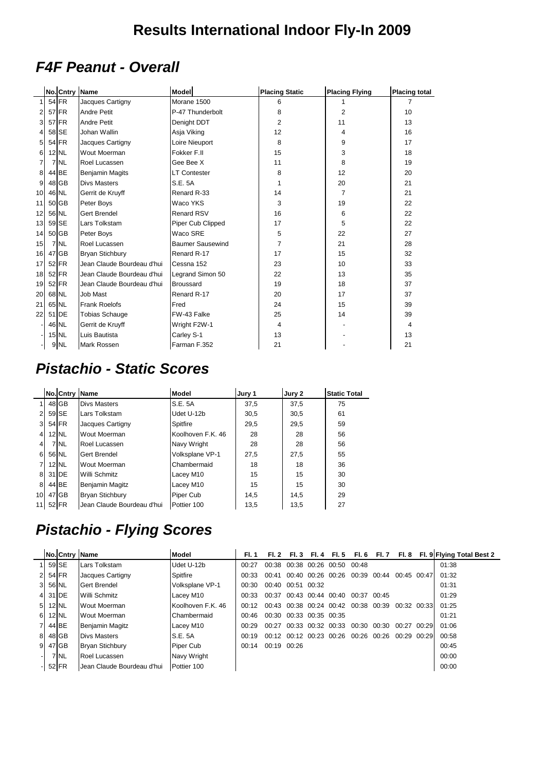## **F4F Peanut - Overall**

|           | No. Cntry Name |                            | <b>Model</b>            | <b>Placing Static</b> | <b>Placing Flying</b> | <b>Placing total</b> |
|-----------|----------------|----------------------------|-------------------------|-----------------------|-----------------------|----------------------|
|           | 54 FR          | Jacques Cartigny           | Morane 1500             | 6                     | $\mathbf{1}$          | 7                    |
|           | 57 FR          | <b>Andre Petit</b>         | P-47 Thunderbolt        | 8                     | 2                     | 10                   |
| 3         | $57$ FR        | <b>Andre Petit</b>         | Denight DDT             | $\overline{2}$        | 11                    | 13                   |
|           | 58 SE          | Johan Wallin               | Asja Viking             | 12                    | 4                     | 16                   |
| 5         | 54 FR          | Jacques Cartigny           | Loire Nieuport          | 8                     | 9                     | 17                   |
| 6         | 12 NL          | Wout Moerman               | Fokker F.II             | 15                    | 3                     | 18                   |
| 7         | 7 NL           | Roel Lucassen              | Gee Bee X               | 11                    | 8                     | 19                   |
| 8         | 44 BE          | <b>Benjamin Magits</b>     | <b>LT Contester</b>     | 8                     | 12                    | 20                   |
| 9         | 48 GB          | <b>Divs Masters</b>        | S.E. 5A                 |                       | 20                    | 21                   |
| 10        | 46 NL          | Gerrit de Kruyff           | Renard R-33             | 14                    | $\overline{7}$        | 21                   |
| 11        | 50 GB          | Peter Boys                 | Waco YKS                | 3                     | 19                    | 22                   |
| 12        | 56 NL          | <b>Gert Brendel</b>        | <b>Renard RSV</b>       | 16                    | 6                     | 22                   |
| 13        | 59 SE          | Lars Tolkstam              | Piper Cub Clipped       | 17                    | 5                     | 22                   |
| 14        | 50 GB          | Peter Boys                 | Waco SRE                | 5                     | 22                    | 27                   |
| 15        | 7 NL           | Roel Lucassen              | <b>Baumer Sausewind</b> | 7                     | 21                    | 28                   |
| 16        | $47$ GB        | <b>Bryan Stichbury</b>     | Renard R-17             | 17                    | 15                    | 32                   |
| 17        | 52 FR          | Jean Claude Bourdeau d'hui | Cessna 152              | 23                    | 10                    | 33                   |
| 18        | $52$ FR        | Jean Claude Bourdeau d'hui | Legrand Simon 50        | 22                    | 13                    | 35                   |
| 19        | $52$ FR        | Jean Claude Bourdeau d'hui | <b>Broussard</b>        | 19                    | 18                    | 37                   |
| <b>20</b> | 68 NL          | Job Mast                   | Renard R-17             | 20                    | 17                    | 37                   |
| 21        | 65 NL          | <b>Frank Roelofs</b>       | Fred                    | 24                    | 15                    | 39                   |
| 22        | 51 DE          | <b>Tobias Schauge</b>      | FW-43 Falke             | 25                    | 14                    | 39                   |
|           | 46 NL          | Gerrit de Kruyff           | Wright F2W-1            | 4                     |                       | 4                    |
|           | 15 NL          | Luis Bautista              | Carley S-1              | 13                    |                       | 13                   |
|           | 9 NL           | <b>Mark Rossen</b>         | Farman F.352            | 21                    |                       | 21                   |

#### **Pistachio - Static Scores**

|                 | No. Cntry Name |                            | <b>Model</b>      | Jury 1 | Jury 2 | <b>Static Total</b> |
|-----------------|----------------|----------------------------|-------------------|--------|--------|---------------------|
|                 | 48 GB          | <b>Divs Masters</b>        | S.E. 5A           | 37,5   | 37,5   | 75                  |
| 2               | 59 SE          | Lars Tolkstam              | Udet U-12b        | 30,5   | 30,5   | 61                  |
| $\mathbf{3}$    | 54 FR          | Jacques Cartigny           | Spitfire          | 29,5   | 29,5   | 59                  |
| $\overline{4}$  | $12$ NL        | Wout Moerman               | Koolhoven F.K. 46 | 28     | 28     | 56                  |
| 4               | 7 NL           | Roel Lucassen              | Navy Wright       | 28     | 28     | 56                  |
| 6               | 56 NL          | Gert Brendel               | Volksplane VP-1   | 27.5   | 27,5   | 55                  |
| 7               | $12$ NL        | <b>Wout Moerman</b>        | Chambermaid       | 18     | 18     | 36                  |
| 8               | 31 <b>IDE</b>  | Willi Schmitz              | Lacey M10         | 15     | 15     | 30                  |
| 8               | 44 BE          | <b>Benjamin Magitz</b>     | Lacey M10         | 15     | 15     | 30                  |
| 10 <sup>1</sup> | 47 GB          | <b>Bryan Stichbury</b>     | Piper Cub         | 14,5   | 14.5   | 29                  |
| 11              | 52 FR          | Jean Claude Bourdeau d'hui | Pottier 100       | 13,5   | 13.5   | 27                  |

## **Pistachio - Flying Scores**

|    | <b>No.ICntry Name</b> |                            | Model             | FI. 1 | FI. 2       | FI. 3             | FI. 4 | <b>FI.5</b>       | FI. 6                   | - Fl. 7 | FI. 8       | Fl. 9 Flying Total Best 2 |
|----|-----------------------|----------------------------|-------------------|-------|-------------|-------------------|-------|-------------------|-------------------------|---------|-------------|---------------------------|
|    | 59 SE                 | Lars Tolkstam              | Udet U-12b        | 00:27 | 00:38       |                   |       | 00:38 00:26 00:50 | 00:48                   |         |             | 01:38                     |
|    | 54 FR                 | Jacques Cartigny           | Spitfire          | 00:33 | 00:41       | 00:40 00:26 00:26 |       |                   | 00:39                   | 00:44   | 00:45 00:47 | 01:32                     |
| 31 | 56 NL                 | <b>Gert Brendel</b>        | Volksplane VP-1   | 00:30 | 00:40       | 00:51 00:32       |       |                   |                         |         |             | 01:31                     |
| 41 | 31 IDE                | Willi Schmitz              | Lacey M10         | 00:33 | 00:37       |                   |       | 00:43 00:44 00:40 | 00:37                   | 00:45   |             | 01:29                     |
| 51 | $12$ NL               | Wout Moerman               | Koolhoven F.K. 46 | 00:12 | 00:43       |                   |       |                   | 00:38 00:24 00:42 00:38 | 00:39   | 00:32 00:33 | 01:25                     |
| 61 | $12$ NL               | <b>Wout Moerman</b>        | Chambermaid       | 00:46 | 00:30       | 00:33 00:35 00:35 |       |                   |                         |         |             | 01:21                     |
|    | 44 BE                 | <b>Benjamin Magitz</b>     | Lacey M10         | 00:29 | 00:27       |                   |       | 00:33 00:32 00:33 | 00:30                   | 00:30   | 00:27 00:29 | 01:06                     |
| 81 | 48 GB                 | <b>Divs Masters</b>        | S.E. 5A           | 00:19 | 00:12       |                   |       | 00:12 00:23 00:26 | 00:26                   | 00:26   | 00:29 00:29 | 00:58                     |
| 91 | 47 GB                 | <b>Bryan Stichbury</b>     | Piper Cub         | 00:14 | 00:19 00:26 |                   |       |                   |                         |         |             | 00:45                     |
|    | 7 NL                  | Roel Lucassen              | Navy Wright       |       |             |                   |       |                   |                         |         |             | 00:00                     |
|    | 52 FR                 | Uean Claude Bourdeau d'hui | Pottier 100       |       |             |                   |       |                   |                         |         |             | 00:00                     |